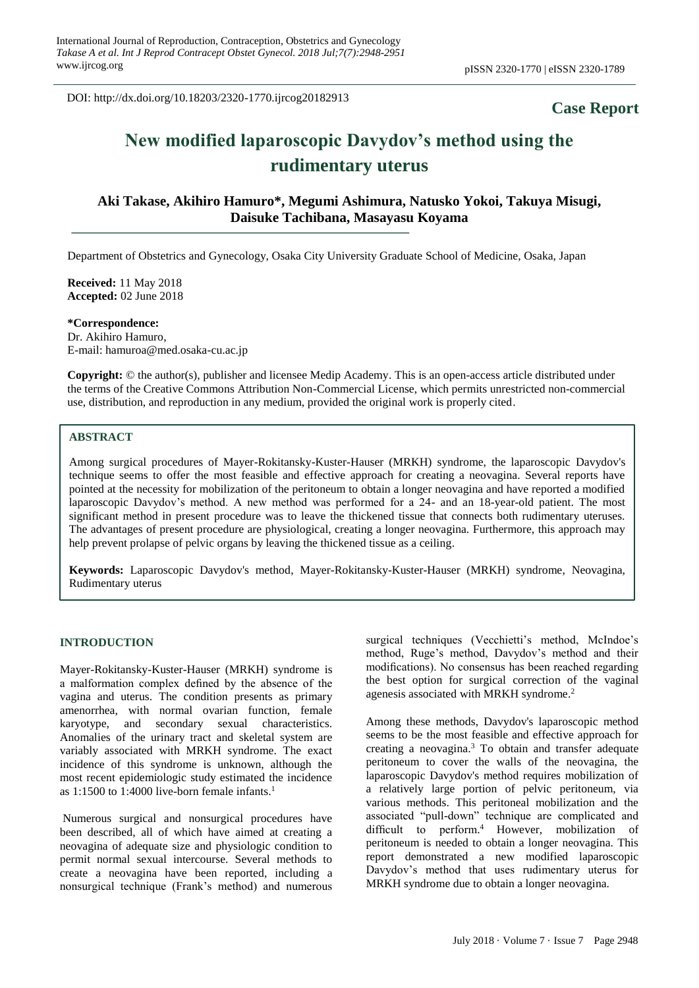DOI: http://dx.doi.org/10.18203/2320-1770.ijrcog20182913

# **Case Report**

# **New modified laparoscopic Davydov's method using the rudimentary uterus**

**Aki Takase, Akihiro Hamuro\*, Megumi Ashimura, Natusko Yokoi, Takuya Misugi, Daisuke Tachibana, Masayasu Koyama**

Department of Obstetrics and Gynecology, Osaka City University Graduate School of Medicine, Osaka, Japan

**Received:** 11 May 2018 **Accepted:** 02 June 2018

**\*Correspondence:** Dr. Akihiro Hamuro, E-mail: hamuroa@med.osaka-cu.ac.jp

**Copyright:** © the author(s), publisher and licensee Medip Academy. This is an open-access article distributed under the terms of the Creative Commons Attribution Non-Commercial License, which permits unrestricted non-commercial use, distribution, and reproduction in any medium, provided the original work is properly cited.

## **ABSTRACT**

Among surgical procedures of Mayer-Rokitansky-Kuster-Hauser (MRKH) syndrome, the laparoscopic Davydov's technique seems to offer the most feasible and effective approach for creating a neovagina. Several reports have pointed at the necessity for mobilization of the peritoneum to obtain a longer neovagina and have reported a modified laparoscopic Davydov's method. A new method was performed for a 24- and an 18-year-old patient. The most significant method in present procedure was to leave the thickened tissue that connects both rudimentary uteruses. The advantages of present procedure are physiological, creating a longer neovagina. Furthermore, this approach may help prevent prolapse of pelvic organs by leaving the thickened tissue as a ceiling.

**Keywords:** Laparoscopic Davydov's method, Mayer-Rokitansky-Kuster-Hauser (MRKH) syndrome, Neovagina, Rudimentary uterus

#### **INTRODUCTION**

Mayer-Rokitansky-Kuster-Hauser (MRKH) syndrome is a malformation complex defined by the absence of the vagina and uterus. The condition presents as primary amenorrhea, with normal ovarian function, female karyotype, and secondary sexual characteristics. Anomalies of the urinary tract and skeletal system are variably associated with MRKH syndrome. The exact incidence of this syndrome is unknown, although the most recent epidemiologic study estimated the incidence as 1:1500 to 1:4000 live-born female infants. 1

Numerous surgical and nonsurgical procedures have been described, all of which have aimed at creating a neovagina of adequate size and physiologic condition to permit normal sexual intercourse. Several methods to create a neovagina have been reported, including a nonsurgical technique (Frank's method) and numerous surgical techniques (Vecchietti's method, McIndoe's method, Ruge's method, Davydov's method and their modifications). No consensus has been reached regarding the best option for surgical correction of the vaginal agenesis associated with MRKH syndrome. 2

Among these methods, Davydov's laparoscopic method seems to be the most feasible and effective approach for creating a neovagina. <sup>3</sup> To obtain and transfer adequate peritoneum to cover the walls of the neovagina, the laparoscopic Davydov's method requires mobilization of a relatively large portion of pelvic peritoneum, via various methods. This peritoneal mobilization and the associated "pull-down" technique are complicated and difficult to perform. <sup>4</sup> However, mobilization of peritoneum is needed to obtain a longer neovagina. This report demonstrated a new modified laparoscopic Davydov's method that uses rudimentary uterus for MRKH syndrome due to obtain a longer neovagina.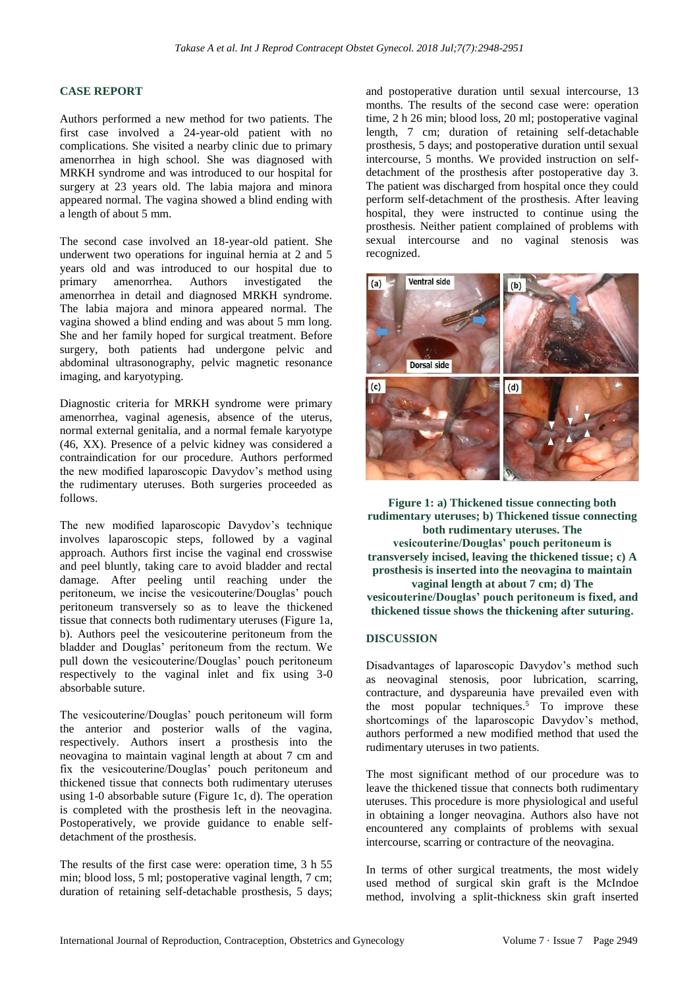#### **CASE REPORT**

Authors performed a new method for two patients. The first case involved a 24-year-old patient with no complications. She visited a nearby clinic due to primary amenorrhea in high school. She was diagnosed with MRKH syndrome and was introduced to our hospital for surgery at 23 years old. The labia majora and minora appeared normal. The vagina showed a blind ending with a length of about 5 mm.

The second case involved an 18-year-old patient. She underwent two operations for inguinal hernia at 2 and 5 years old and was introduced to our hospital due to primary amenorrhea. Authors investigated the amenorrhea in detail and diagnosed MRKH syndrome. The labia majora and minora appeared normal. The vagina showed a blind ending and was about 5 mm long. She and her family hoped for surgical treatment. Before surgery, both patients had undergone pelvic and abdominal ultrasonography, pelvic magnetic resonance imaging, and karyotyping.

Diagnostic criteria for MRKH syndrome were primary amenorrhea, vaginal agenesis, absence of the uterus, normal external genitalia, and a normal female karyotype (46, XX). Presence of a pelvic kidney was considered a contraindication for our procedure. Authors performed the new modified laparoscopic Davydov's method using the rudimentary uteruses. Both surgeries proceeded as follows.

The new modified laparoscopic Davydov's technique involves laparoscopic steps, followed by a vaginal approach. Authors first incise the vaginal end crosswise and peel bluntly, taking care to avoid bladder and rectal damage. After peeling until reaching under the peritoneum, we incise the vesicouterine/Douglas' pouch peritoneum transversely so as to leave the thickened tissue that connects both rudimentary uteruses (Figure 1a, b). Authors peel the vesicouterine peritoneum from the bladder and Douglas' peritoneum from the rectum. We pull down the vesicouterine/Douglas' pouch peritoneum respectively to the vaginal inlet and fix using 3-0 absorbable suture.

The vesicouterine/Douglas' pouch peritoneum will form the anterior and posterior walls of the vagina, respectively. Authors insert a prosthesis into the neovagina to maintain vaginal length at about 7 cm and fix the vesicouterine/Douglas' pouch peritoneum and thickened tissue that connects both rudimentary uteruses using 1-0 absorbable suture (Figure 1c, d). The operation is completed with the prosthesis left in the neovagina. Postoperatively, we provide guidance to enable selfdetachment of the prosthesis.

The results of the first case were: operation time, 3 h 55 min; blood loss, 5 ml; postoperative vaginal length, 7 cm; duration of retaining self-detachable prosthesis, 5 days; and postoperative duration until sexual intercourse, 13 months. The results of the second case were: operation time, 2 h 26 min; blood loss, 20 ml; postoperative vaginal length, 7 cm; duration of retaining self-detachable prosthesis, 5 days; and postoperative duration until sexual intercourse, 5 months. We provided instruction on selfdetachment of the prosthesis after postoperative day 3. The patient was discharged from hospital once they could perform self-detachment of the prosthesis. After leaving hospital, they were instructed to continue using the prosthesis. Neither patient complained of problems with sexual intercourse and no vaginal stenosis was recognized.



**Figure 1: a) Thickened tissue connecting both rudimentary uteruses; b) Thickened tissue connecting both rudimentary uteruses. The vesicouterine/Douglas' pouch peritoneum is transversely incised, leaving the thickened tissue; c) A prosthesis is inserted into the neovagina to maintain vaginal length at about 7 cm; d) The vesicouterine/Douglas' pouch peritoneum is fixed, and thickened tissue shows the thickening after suturing.**

#### **DISCUSSION**

Disadvantages of laparoscopic Davydov's method such as neovaginal stenosis, poor lubrication, scarring, contracture, and dyspareunia have prevailed even with the most popular techniques. <sup>5</sup> To improve these shortcomings of the laparoscopic Davydov's method, authors performed a new modified method that used the rudimentary uteruses in two patients.

The most significant method of our procedure was to leave the thickened tissue that connects both rudimentary uteruses. This procedure is more physiological and useful in obtaining a longer neovagina. Authors also have not encountered any complaints of problems with sexual intercourse, scarring or contracture of the neovagina.

In terms of other surgical treatments, the most widely used method of surgical skin graft is the McIndoe method, involving a split-thickness skin graft inserted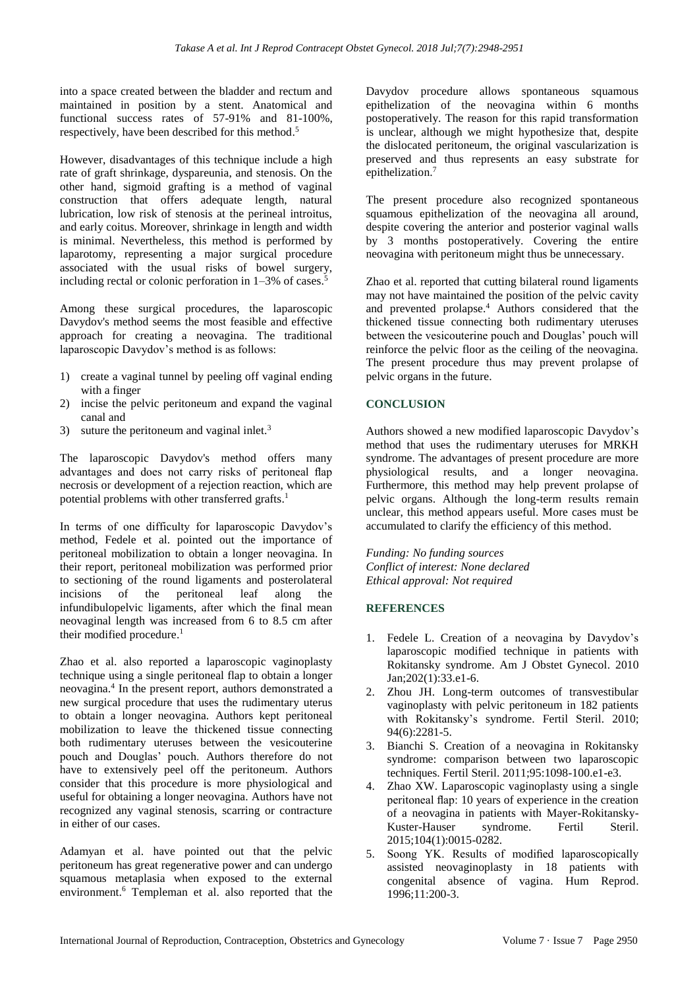into a space created between the bladder and rectum and maintained in position by a stent. Anatomical and functional success rates of 57-91% and 81-100%, respectively, have been described for this method. 5

However, disadvantages of this technique include a high rate of graft shrinkage, dyspareunia, and stenosis. On the other hand, sigmoid grafting is a method of vaginal construction that offers adequate length, natural lubrication, low risk of stenosis at the perineal introitus, and early coitus. Moreover, shrinkage in length and width is minimal. Nevertheless, this method is performed by laparotomy, representing a major surgical procedure associated with the usual risks of bowel surgery, including rectal or colonic perforation in 1–3% of cases. 5

Among these surgical procedures, the laparoscopic Davydov's method seems the most feasible and effective approach for creating a neovagina. The traditional laparoscopic Davydov's method is as follows:

- 1) create a vaginal tunnel by peeling off vaginal ending with a finger
- 2) incise the pelvic peritoneum and expand the vaginal canal and
- 3) suture the peritoneum and vaginal inlet.<sup>3</sup>

The laparoscopic Davydov's method offers many advantages and does not carry risks of peritoneal flap necrosis or development of a rejection reaction, which are potential problems with other transferred grafts.<sup>1</sup>

In terms of one difficulty for laparoscopic Davydov's method, Fedele et al. pointed out the importance of peritoneal mobilization to obtain a longer neovagina. In their report, peritoneal mobilization was performed prior to sectioning of the round ligaments and posterolateral incisions of the peritoneal leaf along the infundibulopelvic ligaments, after which the final mean neovaginal length was increased from 6 to 8.5 cm after their modified procedure. 1

Zhao et al. also reported a laparoscopic vaginoplasty technique using a single peritoneal flap to obtain a longer neovagina. 4 In the present report, authors demonstrated a new surgical procedure that uses the rudimentary uterus to obtain a longer neovagina. Authors kept peritoneal mobilization to leave the thickened tissue connecting both rudimentary uteruses between the vesicouterine pouch and Douglas' pouch. Authors therefore do not have to extensively peel off the peritoneum. Authors consider that this procedure is more physiological and useful for obtaining a longer neovagina. Authors have not recognized any vaginal stenosis, scarring or contracture in either of our cases.

Adamyan et al. have pointed out that the pelvic peritoneum has great regenerative power and can undergo squamous metaplasia when exposed to the external environment. <sup>6</sup> Templeman et al. also reported that the Davydov procedure allows spontaneous squamous epithelization of the neovagina within 6 months postoperatively. The reason for this rapid transformation is unclear, although we might hypothesize that, despite the dislocated peritoneum, the original vascularization is preserved and thus represents an easy substrate for epithelization. 7

The present procedure also recognized spontaneous squamous epithelization of the neovagina all around, despite covering the anterior and posterior vaginal walls by 3 months postoperatively. Covering the entire neovagina with peritoneum might thus be unnecessary.

Zhao et al. reported that cutting bilateral round ligaments may not have maintained the position of the pelvic cavity and prevented prolapse. <sup>4</sup> Authors considered that the thickened tissue connecting both rudimentary uteruses between the vesicouterine pouch and Douglas' pouch will reinforce the pelvic floor as the ceiling of the neovagina. The present procedure thus may prevent prolapse of pelvic organs in the future.

## **CONCLUSION**

Authors showed a new modified laparoscopic Davydov's method that uses the rudimentary uteruses for MRKH syndrome. The advantages of present procedure are more physiological results, and a longer neovagina. Furthermore, this method may help prevent prolapse of pelvic organs. Although the long-term results remain unclear, this method appears useful. More cases must be accumulated to clarify the efficiency of this method.

*Funding: No funding sources Conflict of interest: None declared Ethical approval: Not required*

#### **REFERENCES**

- 1. Fedele L. Creation of a neovagina by Davydov's laparoscopic modified technique in patients with Rokitansky syndrome. Am J Obstet Gynecol. 2010 Jan;202(1):33.e1-6.
- 2. Zhou JH. Long-term outcomes of transvestibular vaginoplasty with pelvic peritoneum in 182 patients with Rokitansky's syndrome. Fertil Steril. 2010; 94(6):2281-5.
- 3. Bianchi S. Creation of a neovagina in Rokitansky syndrome: comparison between two laparoscopic techniques. Fertil Steril. 2011;95:1098-100.e1-e3.
- 4. Zhao XW. Laparoscopic vaginoplasty using a single peritoneal flap: 10 years of experience in the creation of a neovagina in patients with Mayer-Rokitansky-Kuster-Hauser syndrome. Fertil Steril. 2015;104(1):0015-0282.
- 5. Soong YK. Results of modified laparoscopically assisted neovaginoplasty in 18 patients with congenital absence of vagina. Hum Reprod. 1996;11:200-3.